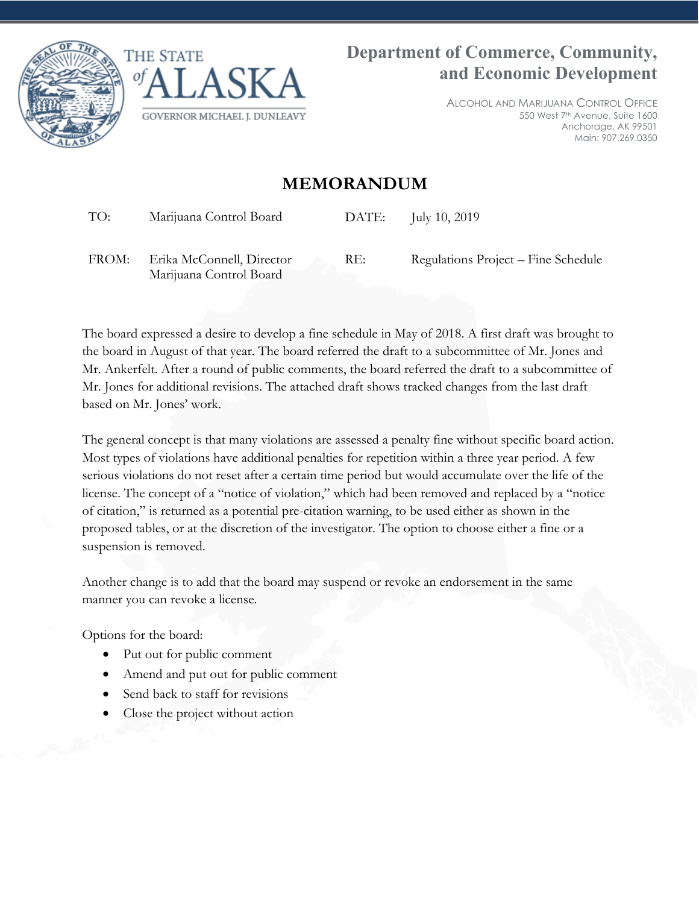



ALCOHOL AND MARIJUANA CONTROL OFFICE 550 West 7th Avenue, Suite 1600 Anchorage, AK 99501 Main: 907.269.0350

## **MEMORANDUM**

TO: Marijuana Control Board DATE: July 10, 2019

FROM: Erika McConnell, Director Marijuana Control Board

RE: Regulations Project – Fine Schedule

The board expressed a desire to develop a fine schedule in May of 2018. A first draft was brought to the board in August of that year. The board referred the draft to a subcommittee of Mr. Jones and Mr. Ankerfelt. After a round of public comments, the board referred the draft to a subcommittee of Mr. Jones for additional revisions. The attached draft shows tracked changes from the last draft based on Mr. Jones' work.

The general concept is that many violations are assessed a penalty fine without specific board action. Most types of violations have additional penalties for repetition within a three year period. A few serious violations do not reset after a certain time period but would accumulate over the life of the license. The concept of a "notice of violation," which had been removed and replaced by a "notice of citation," is returned as a potential pre-citation warning, to be used either as shown in the proposed tables, or at the discretion of the investigator. The option to choose either a fine or a suspension is removed.

Another change is to add that the board may suspend or revoke an endorsement in the same manner you can revoke a license.

Options for the board:

- Put out for public comment
- Amend and put out for public comment
- Send back to staff for revisions
- Close the project without action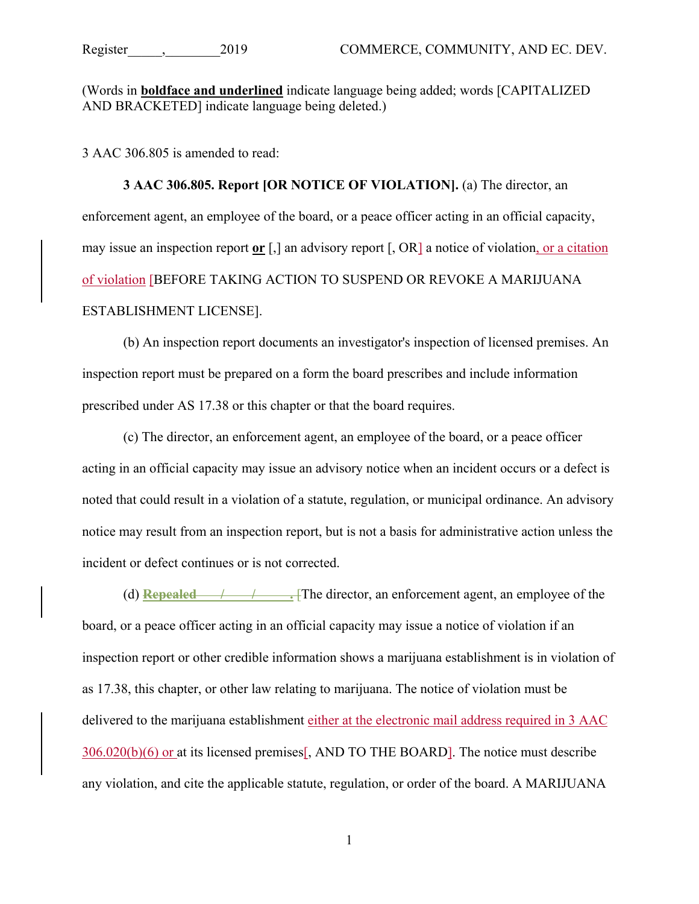(Words in **boldface and underlined** indicate language being added; words [CAPITALIZED AND BRACKETED] indicate language being deleted.)

3 AAC 306.805 is amended to read:

**3 AAC 306.805. Report [OR NOTICE OF VIOLATION].** (a) The director, an enforcement agent, an employee of the board, or a peace officer acting in an official capacity, may issue an inspection report **or** [,] an advisory report [, OR] a notice of violation, or a citation of violation [BEFORE TAKING ACTION TO SUSPEND OR REVOKE A MARIJUANA ESTABLISHMENT LICENSE].

(b) An inspection report documents an investigator's inspection of licensed premises. An inspection report must be prepared on a form the board prescribes and include information prescribed under AS 17.38 or this chapter or that the board requires.

(c) The director, an enforcement agent, an employee of the board, or a peace officer acting in an official capacity may issue an advisory notice when an incident occurs or a defect is noted that could result in a violation of a statute, regulation, or municipal ordinance. An advisory notice may result from an inspection report, but is not a basis for administrative action unless the incident or defect continues or is not corrected.

(d) **Repealed \_\_\_/\_\_\_\_/\_\_\_\_\_.** [The director, an enforcement agent, an employee of the board, or a peace officer acting in an official capacity may issue a notice of violation if an inspection report or other credible information shows a marijuana establishment is in violation of as 17.38, this chapter, or other law relating to marijuana. The notice of violation must be delivered to the marijuana establishment either at the electronic mail address required in 3 AAC 306.020(b)(6) or at its licensed premises[, AND TO THE BOARD]. The notice must describe any violation, and cite the applicable statute, regulation, or order of the board. A MARIJUANA

1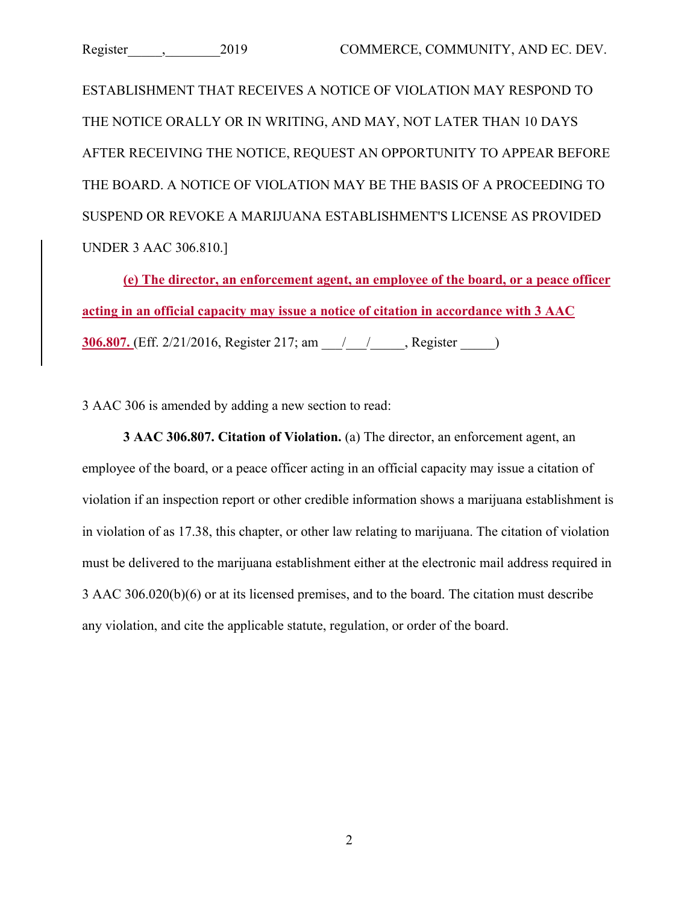ESTABLISHMENT THAT RECEIVES A NOTICE OF VIOLATION MAY RESPOND TO THE NOTICE ORALLY OR IN WRITING, AND MAY, NOT LATER THAN 10 DAYS AFTER RECEIVING THE NOTICE, REQUEST AN OPPORTUNITY TO APPEAR BEFORE THE BOARD. A NOTICE OF VIOLATION MAY BE THE BASIS OF A PROCEEDING TO SUSPEND OR REVOKE A MARIJUANA ESTABLISHMENT'S LICENSE AS PROVIDED UNDER 3 AAC 306.810.]

**(e) The director, an enforcement agent, an employee of the board, or a peace officer acting in an official capacity may issue a notice of citation in accordance with 3 AAC 306.807.** (Eff. 2/21/2016, Register 217; am \_\_\_/\_\_\_\_\_\_\_\_, Register \_\_\_\_\_\_)

3 AAC 306 is amended by adding a new section to read:

**3 AAC 306.807. Citation of Violation.** (a) The director, an enforcement agent, an employee of the board, or a peace officer acting in an official capacity may issue a citation of violation if an inspection report or other credible information shows a marijuana establishment is in violation of as 17.38, this chapter, or other law relating to marijuana. The citation of violation must be delivered to the marijuana establishment either at the electronic mail address required in 3 AAC 306.020(b)(6) or at its licensed premises, and to the board. The citation must describe any violation, and cite the applicable statute, regulation, or order of the board.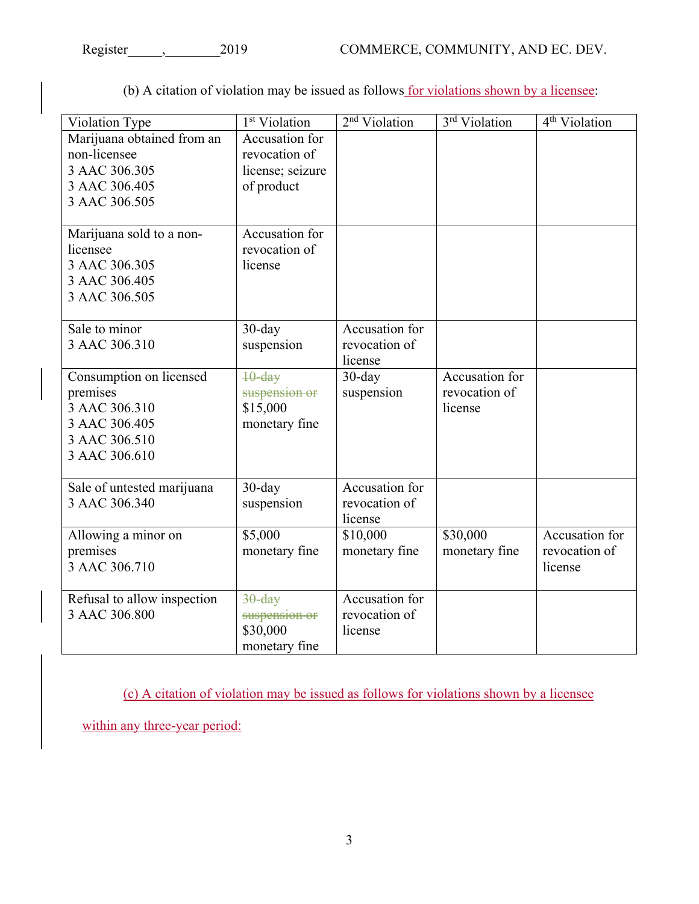| Violation Type                             | 1 <sup>st</sup> Violation       | 2 <sup>nd</sup> Violation | 3rd Violation  | 4 <sup>th</sup> Violation |
|--------------------------------------------|---------------------------------|---------------------------|----------------|---------------------------|
| Marijuana obtained from an<br>non-licensee | Accusation for<br>revocation of |                           |                |                           |
| 3 AAC 306.305                              | license; seizure                |                           |                |                           |
| 3 AAC 306.405                              | of product                      |                           |                |                           |
| 3 AAC 306.505                              |                                 |                           |                |                           |
|                                            |                                 |                           |                |                           |
| Marijuana sold to a non-                   | Accusation for                  |                           |                |                           |
| licensee                                   | revocation of                   |                           |                |                           |
| 3 AAC 306.305                              | license                         |                           |                |                           |
| 3 AAC 306.405                              |                                 |                           |                |                           |
| 3 AAC 306.505                              |                                 |                           |                |                           |
|                                            |                                 |                           |                |                           |
| Sale to minor                              | $30$ -day                       | Accusation for            |                |                           |
| 3 AAC 306.310                              | suspension                      | revocation of             |                |                           |
|                                            |                                 | license                   |                |                           |
| Consumption on licensed                    | $10$ -day                       | $30$ -day                 | Accusation for |                           |
| premises                                   | suspension or                   | suspension                | revocation of  |                           |
| 3 AAC 306.310                              | \$15,000                        |                           | license        |                           |
| 3 AAC 306.405                              | monetary fine                   |                           |                |                           |
| 3 AAC 306.510                              |                                 |                           |                |                           |
| 3 AAC 306.610                              |                                 |                           |                |                           |
|                                            |                                 |                           |                |                           |
| Sale of untested marijuana                 | $30$ -day                       | Accusation for            |                |                           |
| 3 AAC 306.340                              | suspension                      | revocation of             |                |                           |
|                                            | \$5,000                         | license                   | \$30,000       | Accusation for            |
| Allowing a minor on                        |                                 | \$10,000                  |                | revocation of             |
| premises<br>3 AAC 306.710                  | monetary fine                   | monetary fine             | monetary fine  |                           |
|                                            |                                 |                           |                | license                   |
| Refusal to allow inspection                | $30$ -day                       | Accusation for            |                |                           |
| 3 AAC 306.800                              | suspension or                   | revocation of             |                |                           |
|                                            | \$30,000                        | license                   |                |                           |
|                                            | monetary fine                   |                           |                |                           |

(b) A citation of violation may be issued as follows for violations shown by a licensee:

(c) A citation of violation may be issued as follows for violations shown by a licensee

within any three-year period: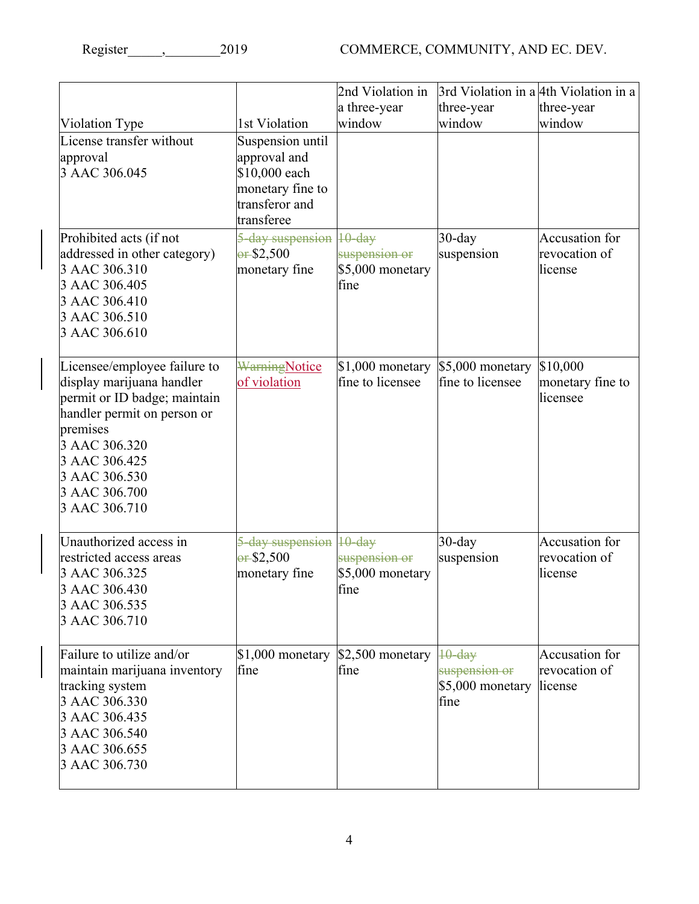|                                                   |                                     | 2nd Violation in                  | 3rd Violation in a 4th Violation in a |                          |
|---------------------------------------------------|-------------------------------------|-----------------------------------|---------------------------------------|--------------------------|
|                                                   |                                     | a three-year                      | three-year                            | three-year               |
| Violation Type<br>License transfer without        | 1st Violation                       | window                            | window                                | window                   |
| approval                                          | Suspension until<br>approval and    |                                   |                                       |                          |
| 3 AAC 306.045                                     | \$10,000 each                       |                                   |                                       |                          |
|                                                   | monetary fine to                    |                                   |                                       |                          |
|                                                   | transferor and<br>transferee        |                                   |                                       |                          |
| Prohibited acts (if not                           | 5-day suspension 10-day             |                                   | $30$ -day                             | <b>Accusation</b> for    |
| addressed in other category)                      | $-$ \$2,500                         | suspension or                     | suspension                            | revocation of            |
| 3 AAC 306.310<br>3 AAC 306.405                    | monetary fine                       | \$5,000 monetary<br>fine          |                                       | license                  |
| 3 AAC 306.410                                     |                                     |                                   |                                       |                          |
| 3 AAC 306.510                                     |                                     |                                   |                                       |                          |
| 3 AAC 306.610                                     |                                     |                                   |                                       |                          |
| Licensee/employee failure to                      | <b>WarningNotice</b>                | $$1,000$ monetary                 | \$5,000 monetary                      | \$10,000                 |
| display marijuana handler                         | of violation                        | fine to licensee                  | fine to licensee                      | monetary fine to         |
| permit or ID badge; maintain                      |                                     |                                   |                                       | licensee                 |
| handler permit on person or<br>premises           |                                     |                                   |                                       |                          |
| 3 AAC 306.320                                     |                                     |                                   |                                       |                          |
| 3 AAC 306.425                                     |                                     |                                   |                                       |                          |
| 3 AAC 306.530<br>3 AAC 306.700                    |                                     |                                   |                                       |                          |
| 3 AAC 306.710                                     |                                     |                                   |                                       |                          |
|                                                   |                                     |                                   |                                       |                          |
| Unauthorized access in<br>restricted access areas | 5-day suspension 10-day             |                                   | $30$ -day                             | Accusation for           |
| 3 AAC 306.325                                     | $-$ \$2,500<br>monetary fine        | suspension or<br>\$5,000 monetary | suspension                            | revocation of<br>license |
| 3 AAC 306.430                                     |                                     | fine                              |                                       |                          |
| 3 AAC 306.535                                     |                                     |                                   |                                       |                          |
| 3 AAC 306.710                                     |                                     |                                   |                                       |                          |
| Failure to utilize and/or                         | $$1,000$ monetary $$2,500$ monetary |                                   | $10$ -day                             | <b>Accusation</b> for    |
| maintain marijuana inventory                      | fine                                | fine                              | suspension or                         | revocation of            |
| tracking system<br>3 AAC 306.330                  |                                     |                                   | \$5,000 monetary<br>fine              | license                  |
| 3 AAC 306.435                                     |                                     |                                   |                                       |                          |
| 3 AAC 306.540                                     |                                     |                                   |                                       |                          |
| 3 AAC 306.655                                     |                                     |                                   |                                       |                          |
| 3 AAC 306.730                                     |                                     |                                   |                                       |                          |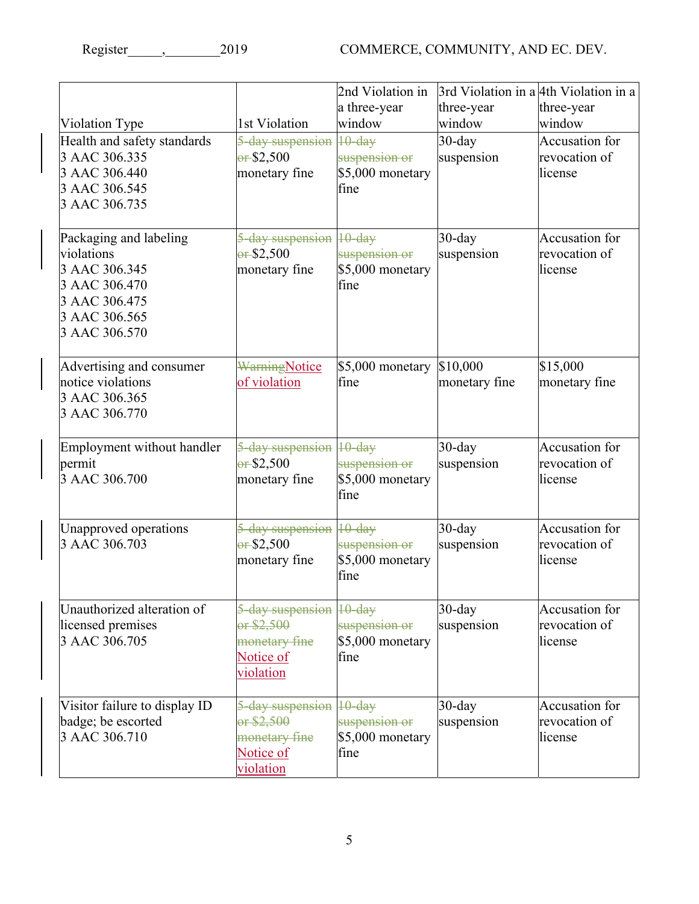| Register | 2019 |
|----------|------|
|----------|------|

|                               |                         | 2nd Violation in<br>a three-year<br>window | 3rd Violation in a 4th Violation in a<br>three-year | three-year     |
|-------------------------------|-------------------------|--------------------------------------------|-----------------------------------------------------|----------------|
| Violation Type                | 1st Violation           |                                            | window                                              | window         |
| Health and safety standards   | 5-day suspension        | $10$ -day                                  | $30$ -day                                           | Accusation for |
| 3 AAC 306.335                 | $-$ \$2,500             | suspension or                              | suspension                                          | revocation of  |
| 3 AAC 306.440                 | monetary fine           | \$5,000 monetary                           |                                                     | license        |
| 3 AAC 306.545                 |                         | fine                                       |                                                     |                |
| 3 AAC 306.735                 |                         |                                            |                                                     |                |
| Packaging and labeling        | 5-day suspension        | $10$ -day                                  | $30$ -day                                           | Accusation for |
| violations                    | $-$ \$2,500             | suspension or                              | suspension                                          | revocation of  |
| 3 AAC 306.345                 | monetary fine           | \$5,000 monetary                           |                                                     | license        |
| 3 AAC 306.470                 |                         | fine                                       |                                                     |                |
| 3 AAC 306.475                 |                         |                                            |                                                     |                |
| 3 AAC 306.565                 |                         |                                            |                                                     |                |
| 3 AAC 306.570                 |                         |                                            |                                                     |                |
|                               |                         |                                            |                                                     |                |
| Advertising and consumer      | <b>WarningNotice</b>    | \$5,000 monetary                           | \$10,000                                            | \$15,000       |
| notice violations             | of violation            | fine                                       | monetary fine                                       | monetary fine  |
| 3 AAC 306.365                 |                         |                                            |                                                     |                |
| 3 AAC 306.770                 |                         |                                            |                                                     |                |
|                               |                         |                                            |                                                     |                |
| Employment without handler    | 5-day suspension        | $10$ -day                                  | $30$ -day                                           | Accusation for |
| permit                        | $-$ \$2,500             | suspension or                              | suspension                                          | revocation of  |
| 3 AAC 306.700                 | monetary fine           | \$5,000 monetary                           |                                                     | license        |
|                               |                         | fine                                       |                                                     |                |
|                               |                         |                                            |                                                     |                |
| Unapproved operations         | 5-day suspension 10-day |                                            | $30$ -day                                           | Accusation for |
| 3 AAC 306.703                 | $-$ \$2,500             | suspension or                              | suspension                                          | revocation of  |
|                               | monetary fine           | \$5,000 monetary                           |                                                     | license        |
|                               |                         | fine                                       |                                                     |                |
|                               |                         |                                            |                                                     |                |
| Unauthorized alteration of    | 5-day suspension 10-day |                                            | $30$ -day                                           | Accusation for |
| licensed premises             | $-$ \$2,500             | suspension or                              | suspension                                          | revocation of  |
| 3 AAC 306.705                 | monetary fine           | \$5,000 monetary                           |                                                     | license        |
|                               | Notice of               | fine                                       |                                                     |                |
|                               | violation               |                                            |                                                     |                |
|                               |                         |                                            |                                                     | Accusation for |
| Visitor failure to display ID | 5-day suspension 10-day |                                            | $30$ -day                                           |                |
| badge; be escorted            | or \$2,500              | suspension or                              | suspension                                          | revocation of  |
| 3 AAC 306.710                 | monetary fine           | \$5,000 monetary                           |                                                     | license        |
|                               | Notice of               | fine                                       |                                                     |                |
|                               | violation               |                                            |                                                     |                |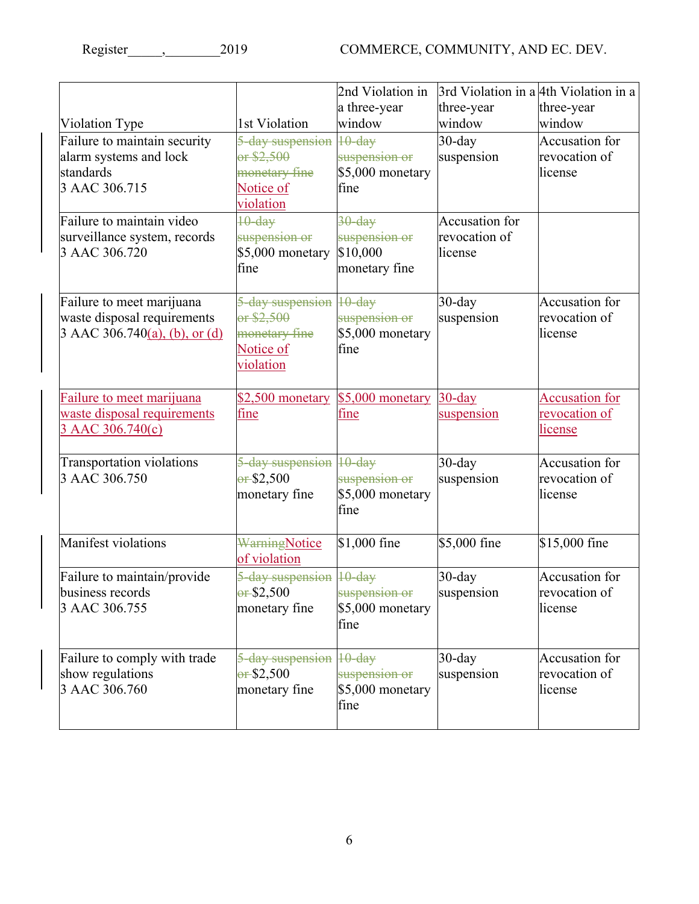COMMERCE, COMMUNITY, AND EC. DEV.

| Register | 2019 |
|----------|------|
|----------|------|

| Violation Type<br>Failure to maintain security<br>alarm systems and lock<br>standards<br>3 AAC 306.715 | 1st Violation<br>5-day suspension<br>or \$2,500<br>monetary fine<br>Notice of<br>violation | 2nd Violation in<br>a three-year<br>window<br>$10$ -day<br>suspension or<br>\$5,000 monetary<br>fine | 3rd Violation in a 4th Violation in a<br>three-year<br>window<br>$30$ -day<br>suspension | three-year<br>window<br>Accusation for<br>revocation of<br>license |
|--------------------------------------------------------------------------------------------------------|--------------------------------------------------------------------------------------------|------------------------------------------------------------------------------------------------------|------------------------------------------------------------------------------------------|--------------------------------------------------------------------|
| Failure to maintain video<br>surveillance system, records<br>3 AAC 306.720                             | $10$ -day<br>suspension or<br>\$5,000 monetary<br>fine                                     | $30$ -day<br>suspension or<br>\$10,000<br>monetary fine                                              | Accusation for<br>revocation of<br>license                                               |                                                                    |
| Failure to meet marijuana<br>waste disposal requirements<br>3 AAC 306.740(a), (b), or (d)              | 5-day suspension 10-day<br>or \$2,500<br>monetary fine<br>Notice of<br>violation           | suspension or<br>\$5,000 monetary<br>fine                                                            | $30$ -day<br>suspension                                                                  | Accusation for<br>revocation of<br>license                         |
| Failure to meet marijuana<br>waste disposal requirements<br>3 AAC 306.740(c)                           | \$2,500 monetary \$5,000 monetary<br>fine                                                  | fine                                                                                                 | $30$ -day<br>suspension                                                                  | <b>Accusation</b> for<br>revocation of<br><u>license</u>           |
| <b>Transportation violations</b><br>3 AAC 306.750                                                      | 5-day suspension<br>$-$ \$2,500<br>monetary fine                                           | $10$ -day<br>suspension or<br>\$5,000 monetary<br>fine                                               | $30$ -day<br>suspension                                                                  | Accusation for<br>revocation of<br>license                         |
| Manifest violations                                                                                    | <b>WarningNotice</b><br>of violation                                                       | \$1,000 fine                                                                                         | \$5,000 fine                                                                             | \$15,000 fine                                                      |
| Failure to maintain/provide<br>business records<br>3 AAC 306.755                                       | 5-day suspension 10-day<br>$-$ \$2,500<br>monetary fine                                    | suspension or<br>\$5,000 monetary<br>fine                                                            | $30$ -day<br>suspension                                                                  | Accusation for<br>revocation of<br>license                         |
| Failure to comply with trade<br>show regulations<br>3 AAC 306.760                                      | 5-day suspension 10-day<br>$-$ \$2,500<br>monetary fine                                    | suspension or<br>\$5,000 monetary<br>fine                                                            | $30$ -day<br>suspension                                                                  | Accusation for<br>revocation of<br>license                         |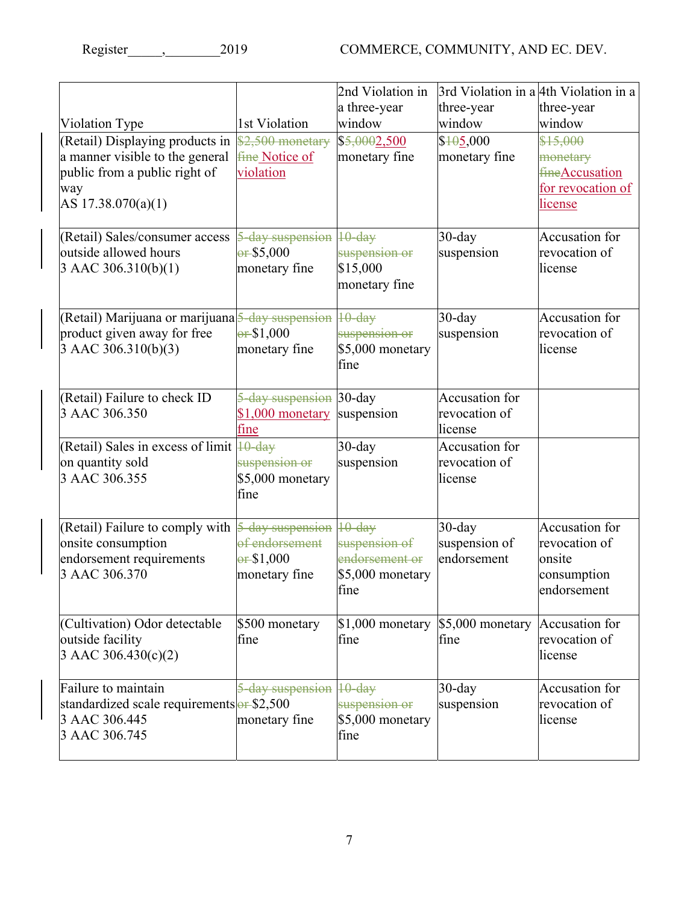| Register | 201 <sup>-</sup> |
|----------|------------------|
|----------|------------------|

|                                                                                                                                        |                                                        | 2nd Violation in<br>a three-year                                         | three-year                                 | 3rd Violation in a 4th Violation in a<br>three-year                            |
|----------------------------------------------------------------------------------------------------------------------------------------|--------------------------------------------------------|--------------------------------------------------------------------------|--------------------------------------------|--------------------------------------------------------------------------------|
| Violation Type                                                                                                                         | 1st Violation                                          | window                                                                   | window                                     | window                                                                         |
| (Retail) Displaying products in<br>a manner visible to the general<br>public from a public right of<br>way<br>AS 17.38.070(a)(1)       | \$2,500 monetary<br><b>fine Notice of</b><br>violation | \$5,0002,500<br>monetary fine                                            | \$405,000<br>monetary fine                 | \$15,000<br>monetary<br><b>fine Accusation</b><br>for revocation of<br>license |
| (Retail) Sales/consumer access<br>outside allowed hours<br>$3$ AAC 306.310(b)(1)                                                       | 5-day suspension<br>$-$ \$5,000<br>monetary fine       | $10$ -day<br>suspension or<br>\$15,000<br>monetary fine                  | $30$ -day<br>suspension                    | Accusation for<br>revocation of<br>license                                     |
| (Retail) Marijuana or marijuana 5-day suspension<br>product given away for free<br>3 AAC 306.310(b)(3)                                 | $-$ \$1,000<br>monetary fine                           | $10$ -day<br>suspension or<br>\$5,000 monetary<br>fine                   | $30$ -day<br>suspension                    | Accusation for<br>revocation of<br>license                                     |
| (Retail) Failure to check ID<br>3 AAC 306.350                                                                                          | 5-day suspension 30-day<br>$$1,000$ monetary<br>fine   | suspension                                                               | Accusation for<br>revocation of<br>license |                                                                                |
| (Retail) Sales in excess of limit 10-day<br>on quantity sold<br>3 AAC 306.355                                                          | suspension or<br>$$5,000$ monetary<br>fine             | $30$ -day<br>suspension                                                  | Accusation for<br>revocation of<br>license |                                                                                |
| (Retail) Failure to comply with $\frac{5-\text{day suspension}}{2}$<br>onsite consumption<br>endorsement requirements<br>3 AAC 306.370 | of endorsement<br>$-$ \$1,000<br>monetary fine         | $10$ -day<br>suspension of<br>endorsement or<br>\$5,000 monetary<br>fine | $30$ -day<br>suspension of<br>endorsement  | <b>Accusation</b> for<br>revocation of<br>onsite<br>consumption<br>endorsement |
| (Cultivation) Odor detectable<br>outside facility<br>3 AAC 306.430(c)(2)                                                               | \$500 monetary<br>fine                                 | $$1,000$ monetary $$5,000$ monetary<br>fine                              | fine                                       | Accusation for<br>revocation of<br>license                                     |
| Failure to maintain<br>standardized scale requirements of \$2,500<br>3 AAC 306.445<br>3 AAC 306.745                                    | 5-day suspension<br>monetary fine                      | $10$ -day<br>suspension or<br>\$5,000 monetary<br>fine                   | $30$ -day<br>suspension                    | Accusation for<br>revocation of<br>license                                     |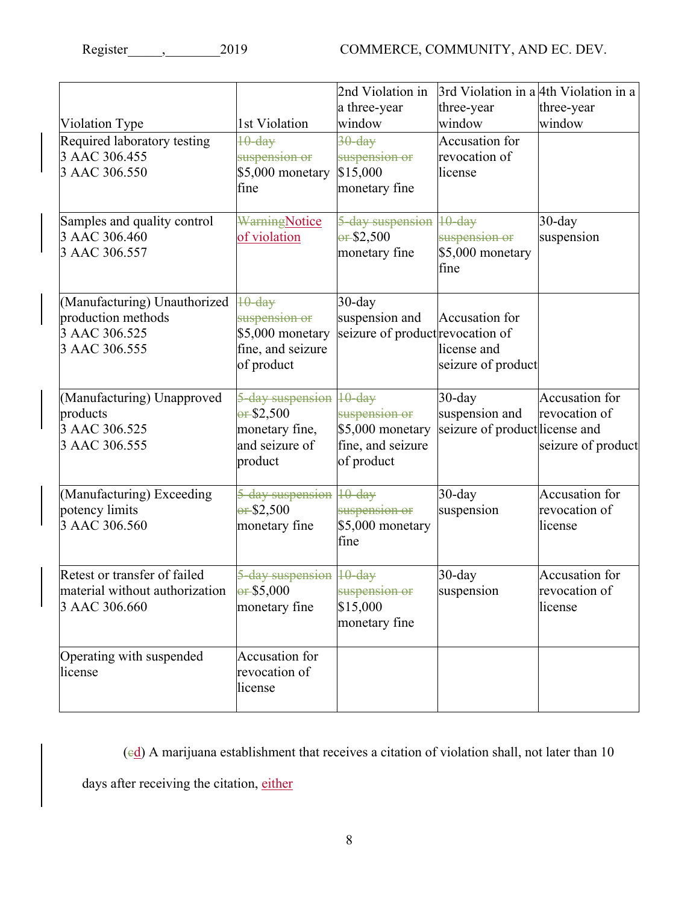| Violation Type                                                                       | 1st Violation                                                                         | 2nd Violation in<br>a three-year<br>window                           | 3rd Violation in a 4th Violation in a<br>three-year<br>window | three-year<br>window                                  |
|--------------------------------------------------------------------------------------|---------------------------------------------------------------------------------------|----------------------------------------------------------------------|---------------------------------------------------------------|-------------------------------------------------------|
| Required laboratory testing<br>3 AAC 306.455<br>3 AAC 306.550                        | $10$ -dav<br>suspension or<br>\$5,000 monetary<br>fine                                | $30 - day$<br>suspension or<br>\$15,000<br>monetary fine             | Accusation for<br>revocation of<br>license                    |                                                       |
| Samples and quality control<br>3 AAC 306.460<br>3 AAC 306.557                        | <b>WarningNotice</b><br>of violation                                                  | 5-day suspension<br>$-$ \$2,500<br>monetary fine                     | $10$ -day<br>suspension or<br>\$5,000 monetary<br>fine        | $30$ -day<br>suspension                               |
| (Manufacturing) Unauthorized<br>production methods<br>3 AAC 306.525<br>3 AAC 306.555 | $10$ -day<br>suspension or<br>\$5,000 monetary<br>fine, and seizure<br>of product     | $30$ -day<br>suspension and<br>seizure of product revocation of      | Accusation for<br>license and<br>seizure of product           |                                                       |
| (Manufacturing) Unapproved<br>products<br>3 AAC 306.525<br>3 AAC 306.555             | 5-day suspension 10-day<br>$-$ \$2,500<br>monetary fine,<br>and seizure of<br>product | suspension or<br>\$5,000 monetary<br>fine, and seizure<br>of product | $30$ -day<br>suspension and<br>seizure of product license and | Accusation for<br>revocation of<br>seizure of product |
| (Manufacturing) Exceeding<br>potency limits<br>3 AAC 306.560                         | 5-day suspension 10-day<br>$-$ \$2,500<br>monetary fine                               | suspension or<br>\$5,000 monetary<br>fine                            | $30$ -day<br>suspension                                       | Accusation for<br>revocation of<br>license            |
| Retest or transfer of failed<br>material without authorization<br>3 AAC 306.660      | 5-day suspension 10-day<br>$-$ \$5,000<br>monetary fine                               | <del>suspension or</del><br>\$15,000<br>monetary fine                | 30-day<br>suspension                                          | Accusation for<br>revocation of<br>license            |
| Operating with suspended<br>license                                                  | Accusation for<br>revocation of<br>license                                            |                                                                      |                                                               |                                                       |

 $\text{ (ed)}$  A marijuana establishment that receives a citation of violation shall, not later than 10 days after receiving the citation, either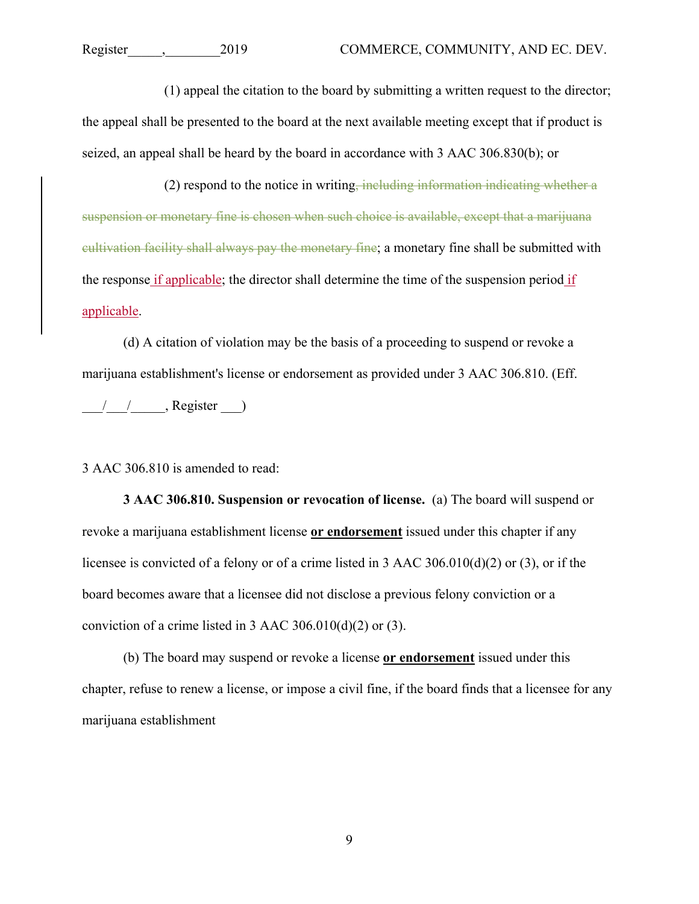(1) appeal the citation to the board by submitting a written request to the director; the appeal shall be presented to the board at the next available meeting except that if product is seized, an appeal shall be heard by the board in accordance with 3 AAC 306.830(b); or

 $(2)$  respond to the notice in writing, including information indicating whether a suspension or monetary fine is chosen when such choice is available, except that a marijuana cultivation facility shall always pay the monetary fine; a monetary fine shall be submitted with the response if applicable; the director shall determine the time of the suspension period if applicable.

(d) A citation of violation may be the basis of a proceeding to suspend or revoke a marijuana establishment's license or endorsement as provided under 3 AAC 306.810. (Eff.

 $\frac{1}{\sqrt{2}}$ , Register  $\frac{1}{\sqrt{2}}$ 

3 AAC 306.810 is amended to read:

**3 AAC 306.810. Suspension or revocation of license.** (a) The board will suspend or revoke a marijuana establishment license **or endorsement** issued under this chapter if any licensee is convicted of a felony or of a crime listed in 3 AAC 306.010(d)(2) or (3), or if the board becomes aware that a licensee did not disclose a previous felony conviction or a conviction of a crime listed in 3 AAC 306.010(d)(2) or (3).

(b) The board may suspend or revoke a license **or endorsement** issued under this chapter, refuse to renew a license, or impose a civil fine, if the board finds that a licensee for any marijuana establishment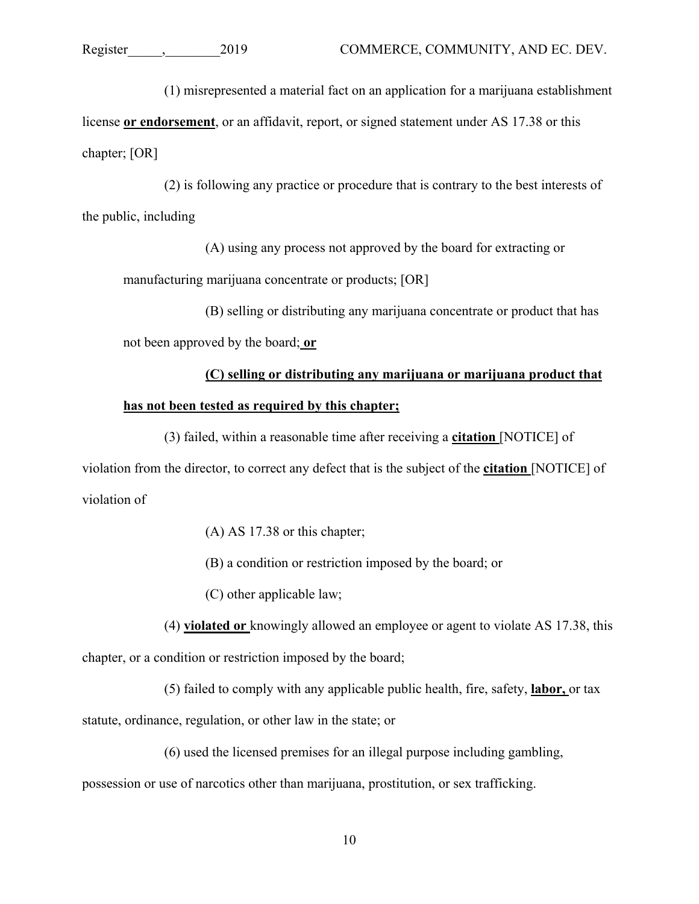(1) misrepresented a material fact on an application for a marijuana establishment

license **or endorsement**, or an affidavit, report, or signed statement under AS 17.38 or this chapter; [OR]

(2) is following any practice or procedure that is contrary to the best interests of the public, including

(A) using any process not approved by the board for extracting or manufacturing marijuana concentrate or products; [OR]

(B) selling or distributing any marijuana concentrate or product that has not been approved by the board; **or**

## **(C) selling or distributing any marijuana or marijuana product that has not been tested as required by this chapter;**

(3) failed, within a reasonable time after receiving a **citation** [NOTICE] of violation from the director, to correct any defect that is the subject of the **citation** [NOTICE] of violation of

(A) AS 17.38 or this chapter;

(B) a condition or restriction imposed by the board; or

(C) other applicable law;

(4) **violated or** knowingly allowed an employee or agent to violate AS 17.38, this chapter, or a condition or restriction imposed by the board;

(5) failed to comply with any applicable public health, fire, safety, **labor,** or tax statute, ordinance, regulation, or other law in the state; or

(6) used the licensed premises for an illegal purpose including gambling, possession or use of narcotics other than marijuana, prostitution, or sex trafficking.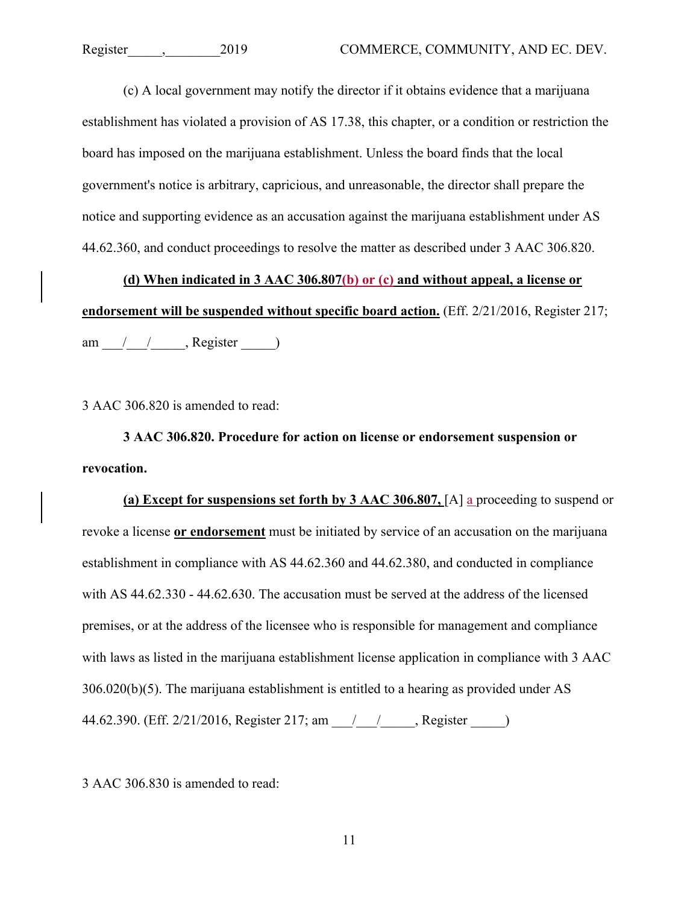(c) A local government may notify the director if it obtains evidence that a marijuana establishment has violated a provision of AS 17.38, this chapter, or a condition or restriction the board has imposed on the marijuana establishment. Unless the board finds that the local government's notice is arbitrary, capricious, and unreasonable, the director shall prepare the notice and supporting evidence as an accusation against the marijuana establishment under AS 44.62.360, and conduct proceedings to resolve the matter as described under 3 AAC 306.820.

**(d) When indicated in 3 AAC 306.807(b) or (c) and without appeal, a license or endorsement will be suspended without specific board action.** (Eff. 2/21/2016, Register 217; am  $\frac{1}{\sqrt{2}}$ , Register  $\frac{1}{\sqrt{2}}$ 

3 AAC 306.820 is amended to read:

**3 AAC 306.820. Procedure for action on license or endorsement suspension or revocation.**

**(a) Except for suspensions set forth by 3 AAC 306.807,** [A] a proceeding to suspend or revoke a license **or endorsement** must be initiated by service of an accusation on the marijuana establishment in compliance with AS 44.62.360 and 44.62.380, and conducted in compliance with AS 44.62.330 - 44.62.630. The accusation must be served at the address of the licensed premises, or at the address of the licensee who is responsible for management and compliance with laws as listed in the marijuana establishment license application in compliance with 3 AAC 306.020(b)(5). The marijuana establishment is entitled to a hearing as provided under AS 44.62.390. (Eff. 2/21/2016, Register 217; am \_\_\_/\_\_\_\_/\_\_\_\_\_, Register \_\_\_\_\_)

3 AAC 306.830 is amended to read: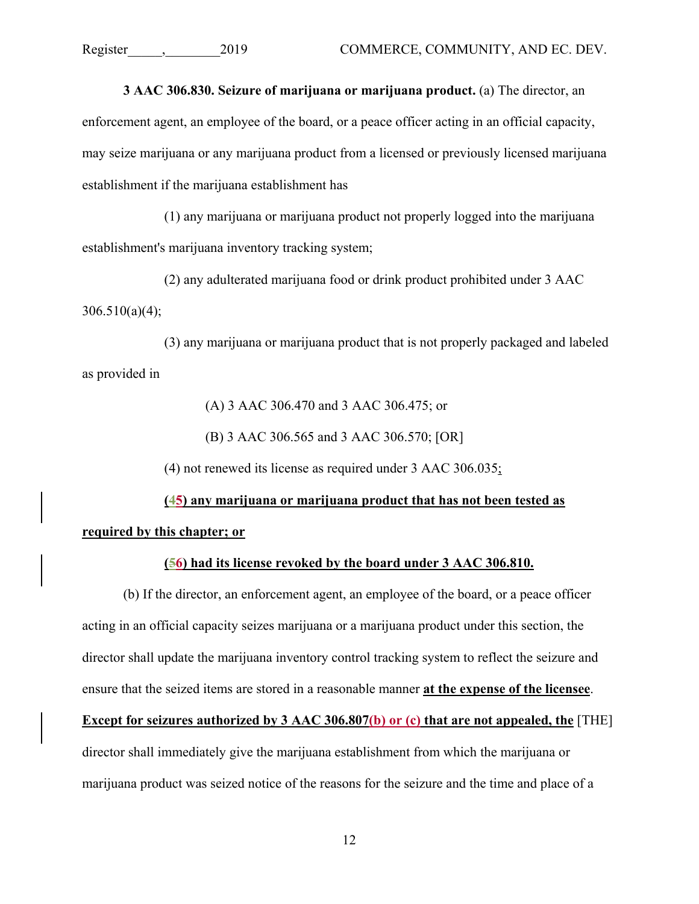**3 AAC 306.830. Seizure of marijuana or marijuana product.** (a) The director, an enforcement agent, an employee of the board, or a peace officer acting in an official capacity, may seize marijuana or any marijuana product from a licensed or previously licensed marijuana establishment if the marijuana establishment has

(1) any marijuana or marijuana product not properly logged into the marijuana establishment's marijuana inventory tracking system;

(2) any adulterated marijuana food or drink product prohibited under 3 AAC  $306.510(a)(4)$ ;

(3) any marijuana or marijuana product that is not properly packaged and labeled as provided in

(A) 3 AAC 306.470 and 3 AAC 306.475; or

(B) 3 AAC 306.565 and 3 AAC 306.570; [OR]

(4) not renewed its license as required under 3 AAC 306.035;

## **(45) any marijuana or marijuana product that has not been tested as required by this chapter; or**

## **(56) had its license revoked by the board under 3 AAC 306.810.**

(b) If the director, an enforcement agent, an employee of the board, or a peace officer acting in an official capacity seizes marijuana or a marijuana product under this section, the director shall update the marijuana inventory control tracking system to reflect the seizure and ensure that the seized items are stored in a reasonable manner **at the expense of the licensee**.

**Except for seizures authorized by 3 AAC 306.807(b) or (c) that are not appealed, the** [THE]

director shall immediately give the marijuana establishment from which the marijuana or marijuana product was seized notice of the reasons for the seizure and the time and place of a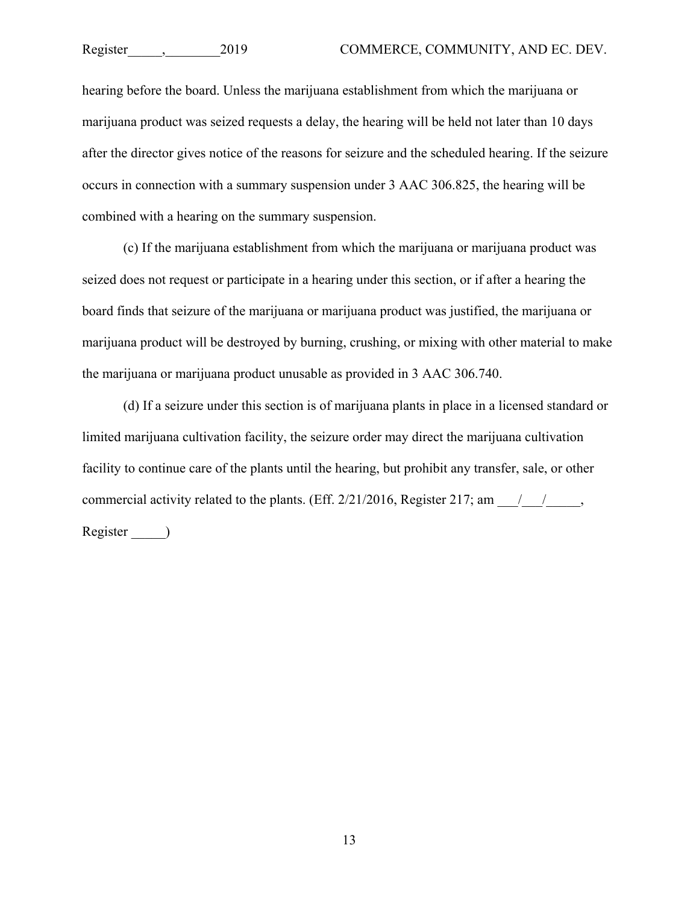hearing before the board. Unless the marijuana establishment from which the marijuana or marijuana product was seized requests a delay, the hearing will be held not later than 10 days after the director gives notice of the reasons for seizure and the scheduled hearing. If the seizure occurs in connection with a summary suspension under 3 AAC 306.825, the hearing will be combined with a hearing on the summary suspension.

(c) If the marijuana establishment from which the marijuana or marijuana product was seized does not request or participate in a hearing under this section, or if after a hearing the board finds that seizure of the marijuana or marijuana product was justified, the marijuana or marijuana product will be destroyed by burning, crushing, or mixing with other material to make the marijuana or marijuana product unusable as provided in 3 AAC 306.740.

(d) If a seizure under this section is of marijuana plants in place in a licensed standard or limited marijuana cultivation facility, the seizure order may direct the marijuana cultivation facility to continue care of the plants until the hearing, but prohibit any transfer, sale, or other commercial activity related to the plants. (Eff.  $2/21/2016$ , Register 217; am  $\frac{1}{\sqrt{2}}$ , Register \_\_\_\_\_)